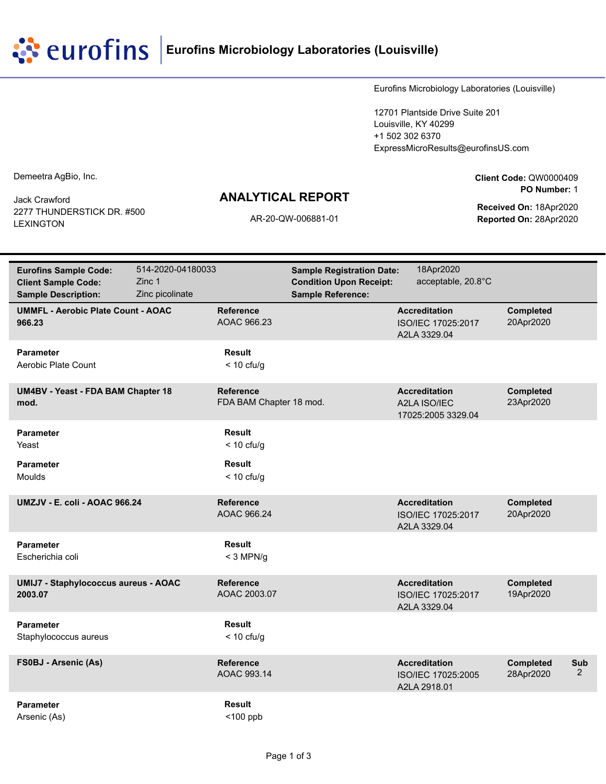**EUTOFINS** Eurofins Microbiology Laboratories (Louisville)

Eurofins Microbiology Laboratories (Louisville)

12701 Plantside Drive Suite 201 Louisville, KY 40299 +1 502 302 6370 ExpressMicroResults@eurofinsUS.com

Demeetra AgBio, Inc.

Jack Crawford 2277 THUNDERSTICK DR. #500 LEXINGTON

## **ANALYTICAL REPORT**

**Client Code:** QW0000409 **PO Number:** 1

**Received On:** 18Apr2020 AR-20-QW-006881-01 **Reported On:** 28Apr2020

| <b>Eurofins Sample Code:</b><br><b>Client Sample Code:</b><br><b>Sample Description:</b> | 514-2020-04180033<br>Zinc 1<br>Zinc picolinate |                                             | <b>Sample Registration Date:</b><br><b>Condition Upon Receipt:</b><br><b>Sample Reference:</b> | 18Apr2020<br>acceptable, 20.8°C                            |                               |          |
|------------------------------------------------------------------------------------------|------------------------------------------------|---------------------------------------------|------------------------------------------------------------------------------------------------|------------------------------------------------------------|-------------------------------|----------|
| <b>UMMFL - Aerobic Plate Count - AOAC</b><br>966.23                                      |                                                | <b>Reference</b><br>AOAC 966.23             |                                                                                                | <b>Accreditation</b><br>ISO/IEC 17025:2017<br>A2LA 3329.04 | <b>Completed</b><br>20Apr2020 |          |
| <b>Parameter</b><br>Aerobic Plate Count                                                  |                                                | Result<br>$<$ 10 cfu/g                      |                                                                                                |                                                            |                               |          |
| UM4BV - Yeast - FDA BAM Chapter 18<br>mod.                                               |                                                | <b>Reference</b><br>FDA BAM Chapter 18 mod. |                                                                                                | <b>Accreditation</b><br>A2LA ISO/IEC<br>17025:2005 3329.04 | Completed<br>23Apr2020        |          |
| <b>Parameter</b><br>Yeast                                                                |                                                | <b>Result</b><br>$<$ 10 cfu/g               |                                                                                                |                                                            |                               |          |
| <b>Parameter</b><br>Moulds                                                               |                                                | <b>Result</b><br>$<$ 10 cfu/g               |                                                                                                |                                                            |                               |          |
| UMZJV - E. coli - AOAC 966.24                                                            |                                                | <b>Reference</b><br>AOAC 966.24             |                                                                                                | <b>Accreditation</b><br>ISO/IEC 17025:2017<br>A2LA 3329.04 | Completed<br>20Apr2020        |          |
| <b>Parameter</b><br>Escherichia coli                                                     |                                                | <b>Result</b><br>$<$ 3 MPN/g                |                                                                                                |                                                            |                               |          |
| <b>UMIJ7 - Staphylococcus aureus - AOAC</b><br>2003.07                                   |                                                | <b>Reference</b><br>AOAC 2003.07            |                                                                                                | <b>Accreditation</b><br>ISO/IEC 17025:2017<br>A2LA 3329.04 | <b>Completed</b><br>19Apr2020 |          |
| <b>Parameter</b><br>Staphylococcus aureus                                                |                                                | Result<br>$<$ 10 cfu/g                      |                                                                                                |                                                            |                               |          |
| <b>FS0BJ - Arsenic (As)</b>                                                              |                                                | <b>Reference</b><br>AOAC 993.14             |                                                                                                | <b>Accreditation</b><br>ISO/IEC 17025:2005<br>A2LA 2918.01 | <b>Completed</b><br>28Apr2020 | Sub<br>2 |
| <b>Parameter</b><br>Arsenic (As)                                                         |                                                | <b>Result</b><br>$<$ 100 ppb                |                                                                                                |                                                            |                               |          |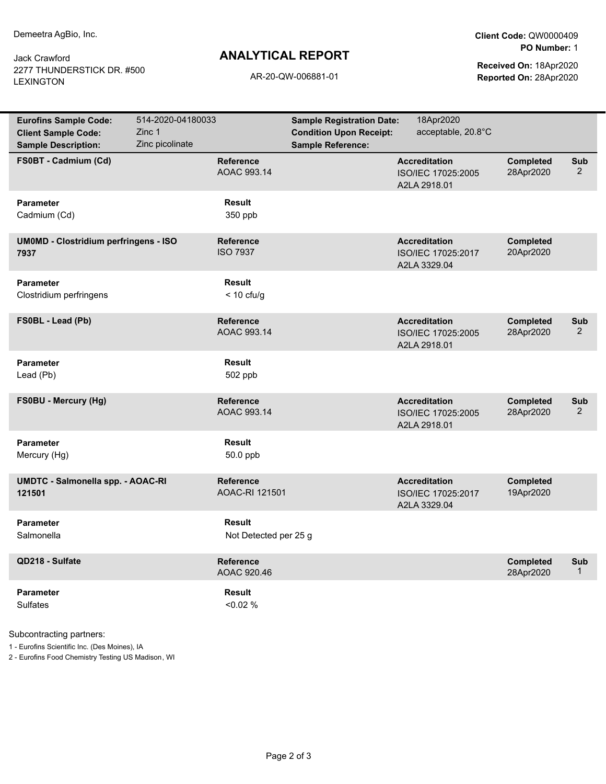Jack Crawford 2277 THUNDERSTICK DR. #500 LEXINGTON

## **ANALYTICAL REPORT**

**Client Code:** QW0000409 **PO Number:** 1

**Received On:** 18Apr2020 AR-20-QW-006881-01 **Reported On:** 28Apr2020

| <b>Eurofins Sample Code:</b><br><b>Client Sample Code:</b> | 514-2020-04180033<br>Zinc 1 |                                     | <b>Sample Registration Date:</b><br><b>Condition Upon Receipt:</b> | 18Apr2020<br>acceptable, 20.8°C                            |                               |                       |
|------------------------------------------------------------|-----------------------------|-------------------------------------|--------------------------------------------------------------------|------------------------------------------------------------|-------------------------------|-----------------------|
| <b>Sample Description:</b>                                 | Zinc picolinate             |                                     | <b>Sample Reference:</b>                                           |                                                            |                               |                       |
| FS0BT - Cadmium (Cd)                                       |                             | <b>Reference</b><br>AOAC 993.14     |                                                                    | <b>Accreditation</b><br>ISO/IEC 17025:2005<br>A2LA 2918.01 | <b>Completed</b><br>28Apr2020 | Sub<br>2              |
| <b>Parameter</b><br>Cadmium (Cd)                           |                             | Result<br>350 ppb                   |                                                                    |                                                            |                               |                       |
| <b>UMOMD - Clostridium perfringens - ISO</b><br>7937       |                             | <b>Reference</b><br><b>ISO 7937</b> |                                                                    | <b>Accreditation</b><br>ISO/IEC 17025:2017<br>A2LA 3329.04 | <b>Completed</b><br>20Apr2020 |                       |
| <b>Parameter</b><br>Clostridium perfringens                |                             | Result<br>$<$ 10 cfu/g              |                                                                    |                                                            |                               |                       |
| FS0BL - Lead (Pb)                                          |                             | <b>Reference</b><br>AOAC 993.14     |                                                                    | <b>Accreditation</b><br>ISO/IEC 17025:2005<br>A2LA 2918.01 | Completed<br>28Apr2020        | Sub<br>$\overline{2}$ |
| <b>Parameter</b><br>Lead (Pb)                              |                             | Result<br>502 ppb                   |                                                                    |                                                            |                               |                       |
| FS0BU - Mercury (Hg)                                       |                             | Reference<br>AOAC 993.14            |                                                                    | <b>Accreditation</b><br>ISO/IEC 17025:2005<br>A2LA 2918.01 | <b>Completed</b><br>28Apr2020 | Sub<br>$\overline{2}$ |
| <b>Parameter</b><br>Mercury (Hg)                           |                             | Result<br>$50.0$ ppb                |                                                                    |                                                            |                               |                       |
| UMDTC - Salmonella spp. - AOAC-RI<br>121501                |                             | <b>Reference</b><br>AOAC-RI 121501  |                                                                    | <b>Accreditation</b><br>ISO/IEC 17025:2017<br>A2LA 3329.04 | <b>Completed</b><br>19Apr2020 |                       |
| <b>Parameter</b><br>Salmonella                             |                             | Result<br>Not Detected per 25 g     |                                                                    |                                                            |                               |                       |
| QD218 - Sulfate                                            |                             | Reference<br>AOAC 920.46            |                                                                    |                                                            | <b>Completed</b><br>28Apr2020 | Sub<br>$\mathbf{1}$   |
| <b>Parameter</b><br>Sulfates                               |                             | Result<br>$< 0.02 \%$               |                                                                    |                                                            |                               |                       |

Subcontracting partners:

1 - Eurofins Scientific Inc. (Des Moines), IA

2 - Eurofins Food Chemistry Testing US Madison, WI